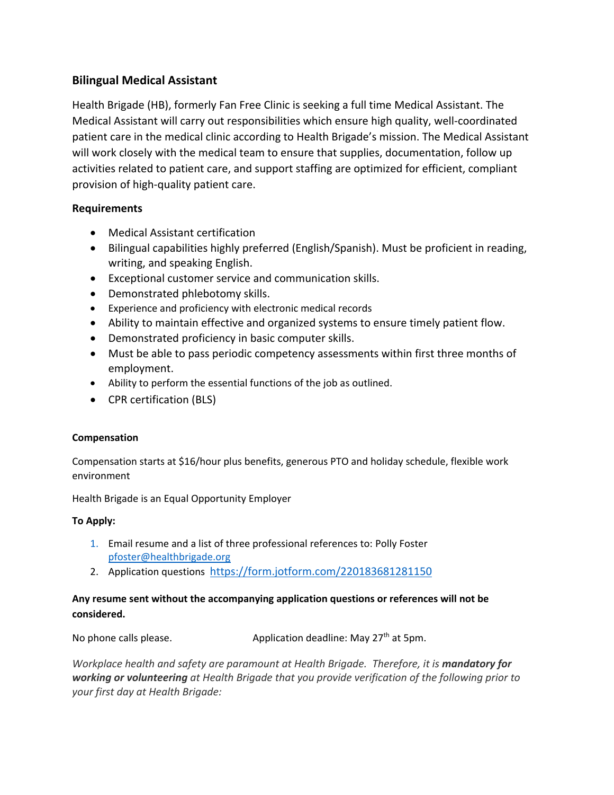# **Bilingual Medical Assistant**

Health Brigade (HB), formerly Fan Free Clinic is seeking a full time Medical Assistant. The Medical Assistant will carry out responsibilities which ensure high quality, well-coordinated patient care in the medical clinic according to Health Brigade's mission. The Medical Assistant will work closely with the medical team to ensure that supplies, documentation, follow up activities related to patient care, and support staffing are optimized for efficient, compliant provision of high-quality patient care.

### **Requirements**

- Medical Assistant certification
- Bilingual capabilities highly preferred (English/Spanish). Must be proficient in reading, writing, and speaking English.
- Exceptional customer service and communication skills.
- Demonstrated phlebotomy skills.
- Experience and proficiency with electronic medical records
- Ability to maintain effective and organized systems to ensure timely patient flow.
- Demonstrated proficiency in basic computer skills.
- Must be able to pass periodic competency assessments within first three months of employment.
- Ability to perform the essential functions of the job as outlined.
- CPR certification (BLS)

#### **Compensation**

Compensation starts at \$16/hour plus benefits, generous PTO and holiday schedule, flexible work environment

Health Brigade is an Equal Opportunity Employer

#### **To Apply:**

- 1. Email resume and a list of three professional references to: Polly Foster [pfoster@healthbrigade.org](mailto:pfoster@healthbrigade.org)
- 2. Application questions <https://form.jotform.com/220183681281150>

# **Any resume sent without the accompanying application questions or references will not be considered.**

No phone calls please.  $\blacksquare$  Application deadline: May 27<sup>th</sup> at 5pm.

*Workplace health and safety are paramount at Health Brigade. Therefore, it is mandatory for working or volunteering at Health Brigade that you provide verification of the following prior to your first day at Health Brigade:*